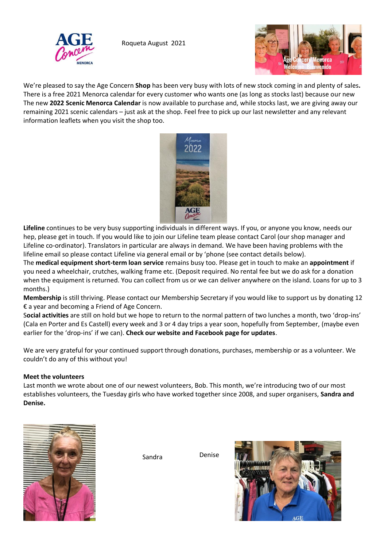

Roqueta August 2021



We're pleased to say the Age Concern **Shop** has been very busy with lots of new stock coming in and plenty of sales**.**  There is a free 2021 Menorca calendar for every customer who wants one (as long as stocks last) because our new The new **2022 Scenic Menorca Calendar** is now available to purchase and, while stocks last, we are giving away our remaining 2021 scenic calendars – just ask at the shop. Feel free to pick up our last newsletter and any relevant information leaflets when you visit the shop too.



**Lifeline** continues to be very busy supporting individuals in different ways. If you, or anyone you know, needs our hep, please get in touch. If you would like to join our Lifeline team please contact Carol (our shop manager and Lifeline co-ordinator). Translators in particular are always in demand. We have been having problems with the lifeline email so please contact Lifeline via general email or by 'phone (see contact details below).

The **medical equipment short-term loan service** remains busy too. Please get in touch to make an **appointment** if you need a wheelchair, crutches, walking frame etc. (Deposit required. No rental fee but we do ask for a donation when the equipment is returned. You can collect from us or we can deliver anywhere on the island. Loans for up to 3 months.)

**Membership** is still thriving. Please contact our Membership Secretary if you would like to support us by donating 12 € a year and becoming a Friend of Age Concern.

S**ocial activities** are still on hold but we hope to return to the normal pattern of two lunches a month, two 'drop-ins' (Cala en Porter and Es Castell) every week and 3 or 4 day trips a year soon, hopefully from September, (maybe even earlier for the 'drop-ins' if we can). **Check our website and Facebook page for updates**.

We are very grateful for your continued support through donations, purchases, membership or as a volunteer. We couldn't do any of this without you!

## **Meet the volunteers**

Last month we wrote about one of our newest volunteers, Bob. This month, we're introducing two of our most establishes volunteers, the Tuesday girls who have worked together since 2008, and super organisers, **Sandra and Denise.** 



Sandra Denise